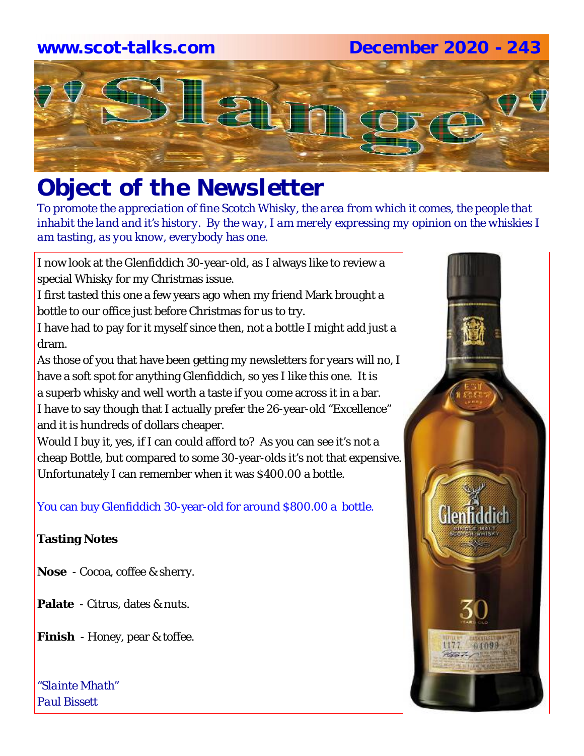# **www.scot-talks.com December 2020 - 243**



# *Object of the Newsletter*

*To promote the appreciation of fine Scotch Whisky, the area from which it comes, the people that inhabit the land and it's history. By the way, I am merely expressing my opinion on the whiskies I am tasting, as you know, everybody has one.* 

I now look at the Glenfiddich 30-year-old, as I always like to review a special Whisky for my Christmas issue.

I first tasted this one a few years ago when my friend Mark brought a bottle to our office just before Christmas for us to try.

I have had to pay for it myself since then, not a bottle I might add just a dram.

As those of you that have been getting my newsletters for years will no, I have a soft spot for anything Glenfiddich, so yes I like this one. It is a superb whisky and well worth a taste if you come across it in a bar. I have to say though that I actually prefer the 26-year-old "Excellence" and it is hundreds of dollars cheaper.

Would I buy it, yes, if I can could afford to? As you can see it's not a cheap Bottle, but compared to some 30-year-olds it's not that expensive. Unfortunately I can remember when it was \$400.00 a bottle.

You can buy Glenfiddich 30-year-old for around \$800.00 a bottle.

## **Tasting Notes**

- **Nose**  Cocoa, coffee & sherry.
- **Palate**  Citrus, dates & nuts.
- **Finish**  Honey, pear & toffee.

*"Slainte Mhath" Paul Bissett*

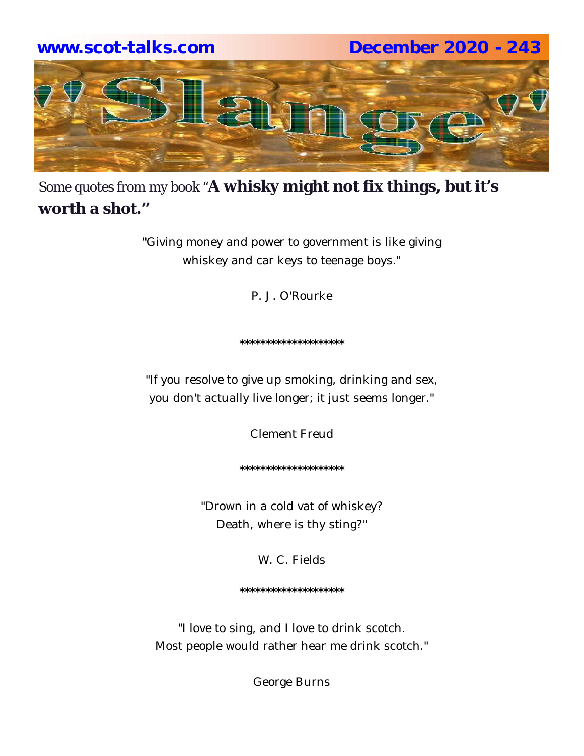

Some quotes from my book "**A whisky might not fix things, but it's worth a shot."**

> "Giving money and power to government is like giving whiskey and car keys to teenage boys."

> > P. J. O'Rourke

**\*\*\*\*\*\*\*\*\*\*\*\*\*\*\*\*\*\*\*\***

"If you resolve to give up smoking, drinking and sex, you don't actually live longer; it just seems longer."

Clement Freud

**\*\*\*\*\*\*\*\*\*\*\*\*\*\*\*\*\*\*\*\***

"Drown in a cold vat of whiskey? Death, where is thy sting?"

W. C. Fields

**\*\*\*\*\*\*\*\*\*\*\*\*\*\*\*\*\*\*\*\***

"I love to sing, and I love to drink scotch. Most people would rather hear me drink scotch."

George Burns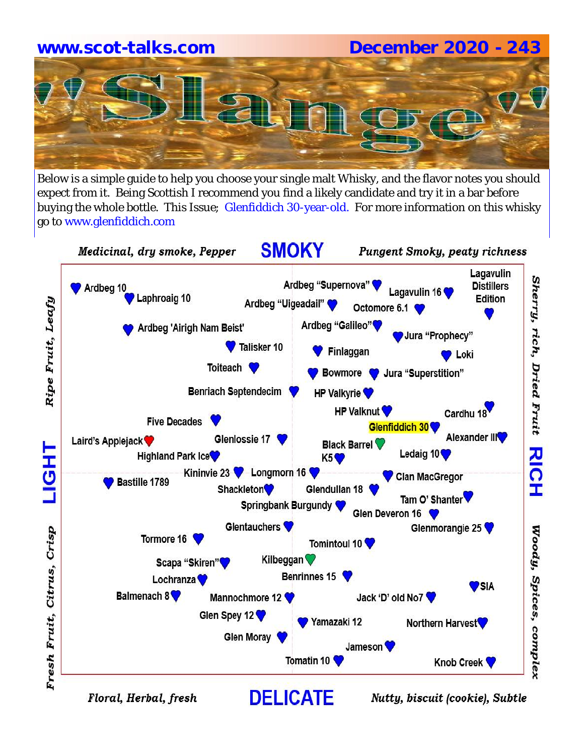# **www.scot-talks.com December 2020 - 243**



Below is a simple guide to help you choose your single malt Whisky, and the flavor notes you should expect from it. Being Scottish I recommend you find a likely candidate and try it in a bar before buying the whole bottle. This Issue; Glenfiddich 30-year-old. For more information on this whisky go to www.glenfiddich.com

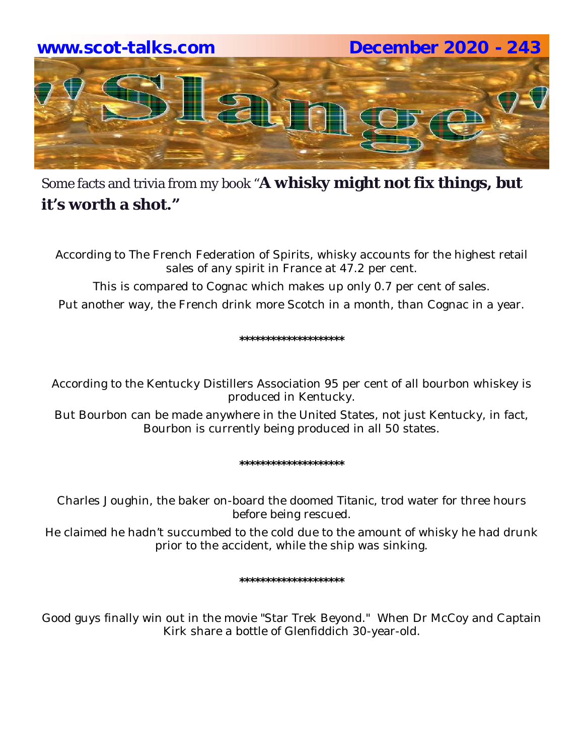

Some facts and trivia from my book "**A whisky might not fix things, but it's worth a shot."**

According to The French Federation of Spirits, whisky accounts for the highest retail sales of any spirit in France at 47.2 per cent.

This is compared to Cognac which makes up only 0.7 per cent of sales. Put another way, the French drink more Scotch in a month, than Cognac in a year.

**\*\*\*\*\*\*\*\*\*\*\*\*\*\*\*\*\*\*\*\***

According to the Kentucky Distillers Association 95 per cent of all bourbon whiskey is produced in Kentucky.

But Bourbon can be made anywhere in the United States, not just Kentucky, in fact, Bourbon is currently being produced in all 50 states.

**\*\*\*\*\*\*\*\*\*\*\*\*\*\*\*\*\*\*\*\***

Charles Joughin, the baker on-board the doomed *Titanic*, trod water for three hours before being rescued.

He claimed he hadn't succumbed to the cold due to the amount of whisky he had drunk prior to the accident, while the ship was sinking.

**\*\*\*\*\*\*\*\*\*\*\*\*\*\*\*\*\*\*\*\***

Good guys finally win out in the movie "Star Trek Beyond." When Dr McCoy and Captain Kirk share a bottle of Glenfiddich 30-year-old.